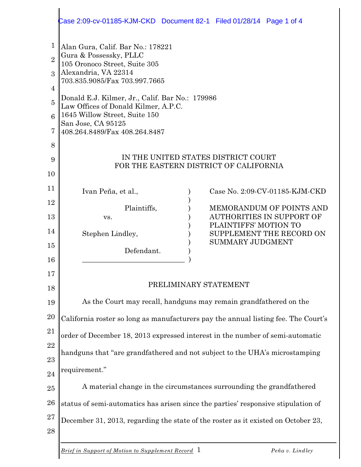|                     | Case 2:09-cv-01185-KJM-CKD  Document 82-1  Filed 01/28/14  Page 1 of 4                                                                                                                                                                                                                                                                   |  |  |
|---------------------|------------------------------------------------------------------------------------------------------------------------------------------------------------------------------------------------------------------------------------------------------------------------------------------------------------------------------------------|--|--|
| 1<br>$\overline{2}$ | Alan Gura, Calif. Bar No.: 178221<br>Gura & Possessky, PLLC<br>105 Oronoco Street, Suite 305<br>Alexandria, VA 22314<br>703.835.9085/Fax 703.997.7665<br>Donald E.J. Kilmer, Jr., Calif. Bar No.: 179986<br>Law Offices of Donald Kilmer, A.P.C.<br>1645 Willow Street, Suite 150<br>San Jose, CA 95125<br>408.264.8489/Fax 408.264.8487 |  |  |
| $\mathcal{S}$<br>4  |                                                                                                                                                                                                                                                                                                                                          |  |  |
| $\overline{5}$      |                                                                                                                                                                                                                                                                                                                                          |  |  |
| $\mathbf{6}$<br>7   |                                                                                                                                                                                                                                                                                                                                          |  |  |
| 8                   |                                                                                                                                                                                                                                                                                                                                          |  |  |
| 9                   | IN THE UNITED STATES DISTRICT COURT<br>FOR THE EASTERN DISTRICT OF CALIFORNIA                                                                                                                                                                                                                                                            |  |  |
| 10                  |                                                                                                                                                                                                                                                                                                                                          |  |  |
| 11                  | Case No. 2:09-CV-01185-KJM-CKD<br>Ivan Peña, et al.,                                                                                                                                                                                                                                                                                     |  |  |
| 12                  | Plaintiffs,<br><b>MEMORANDUM OF POINTS AND</b><br><b>AUTHORITIES IN SUPPORT OF</b>                                                                                                                                                                                                                                                       |  |  |
| 13<br>14            | VS.<br>PLAINTIFFS' MOTION TO                                                                                                                                                                                                                                                                                                             |  |  |
| 15                  | Stephen Lindley,<br>SUPPLEMENT THE RECORD ON<br><b>SUMMARY JUDGMENT</b>                                                                                                                                                                                                                                                                  |  |  |
| 16                  | Defendant.                                                                                                                                                                                                                                                                                                                               |  |  |
| 17                  |                                                                                                                                                                                                                                                                                                                                          |  |  |
| 18                  | PRELIMINARY STATEMENT                                                                                                                                                                                                                                                                                                                    |  |  |
| 19                  | As the Court may recall, handguns may remain grandfathered on the                                                                                                                                                                                                                                                                        |  |  |
| 20                  | California roster so long as manufacturers pay the annual listing fee. The Court's                                                                                                                                                                                                                                                       |  |  |
| 21                  | order of December 18, 2013 expressed interest in the number of semi-automatic                                                                                                                                                                                                                                                            |  |  |
| 22                  | handguns that "are grandfathered and not subject to the UHA's microstamping                                                                                                                                                                                                                                                              |  |  |
| 23                  | requirement."                                                                                                                                                                                                                                                                                                                            |  |  |
| 24<br>25            | A material change in the circumstances surrounding the grandfathered                                                                                                                                                                                                                                                                     |  |  |
| 26                  |                                                                                                                                                                                                                                                                                                                                          |  |  |
| 27                  | status of semi-automatics has arisen since the parties' responsive stipulation of<br>December 31, 2013, regarding the state of the roster as it existed on October 23,                                                                                                                                                                   |  |  |
| 28                  |                                                                                                                                                                                                                                                                                                                                          |  |  |
|                     | <b>Brief in Support of Motion to Supplement Record</b> 1<br>Peña v. Lindley                                                                                                                                                                                                                                                              |  |  |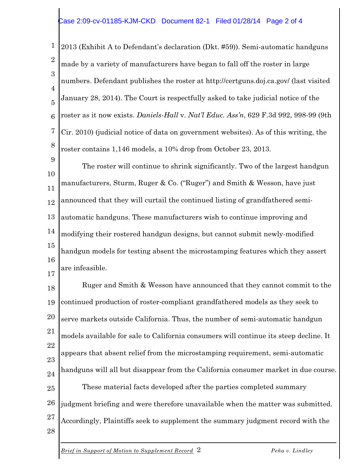## Case 2:09-cv-01185-KJM-CKD Document 82-1 Filed 01/28/14 Page 2 of 4

1 2 3 4 5 6 7 8 2013 (Exhibit A to Defendant's declaration (Dkt. #59)). Semi-automatic handguns made by a variety of manufacturers have began to fall off the roster in large numbers. Defendant publishes the roster at http://certguns.doj.ca.gov/ (last visited January 28, 2014). The Court is respectfully asked to take judicial notice of the roster as it now exists. *Daniels-Hall* v. *Nat'l Educ. Ass'n*, 629 F.3d 992, 998-99 (9th Cir. 2010) (judicial notice of data on government websites). As of this writing, the roster contains 1,146 models, a 10% drop from October 23, 2013.

9 10 11 12 13 14 15 16 17 The roster will continue to shrink significantly. Two of the largest handgun manufacturers, Sturm, Ruger & Co. ("Ruger") and Smith & Wesson, have just announced that they will curtail the continued listing of grandfathered semiautomatic handguns. These manufacturers wish to continue improving and modifying their rostered handgun designs, but cannot submit newly-modified handgun models for testing absent the microstamping features which they assert are infeasible.

18 19 20 21 22 23 24 25 26 27 28 Ruger and Smith & Wesson have announced that they cannot commit to the continued production of roster-compliant grandfathered models as they seek to serve markets outside California. Thus, the number of semi-automatic handgun models available for sale to California consumers will continue its steep decline. It appears that absent relief from the microstamping requirement, semi-automatic handguns will all but disappear from the California consumer market in due course. These material facts developed after the parties completed summary judgment briefing and were therefore unavailable when the matter was submitted. Accordingly, Plaintiffs seek to supplement the summary judgment record with the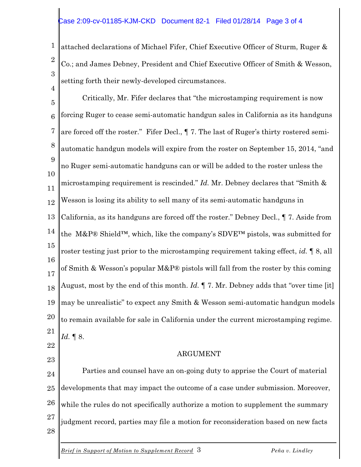## Case 2:09-cv-01185-KJM-CKD Document 82-1 Filed 01/28/14 Page 3 of 4

4

23

1 2 3 attached declarations of Michael Fifer, Chief Executive Officer of Sturm, Ruger & Co.; and James Debney, President and Chief Executive Officer of Smith & Wesson, setting forth their newly-developed circumstances.

5 6 7 8 9 10 11 12 13 14 15 16 17 18 19 20 21 22 Critically, Mr. Fifer declares that "the microstamping requirement is now forcing Ruger to cease semi-automatic handgun sales in California as its handguns are forced off the roster." Fifer Decl., ¶ 7. The last of Ruger's thirty rostered semiautomatic handgun models will expire from the roster on September 15, 2014, "and no Ruger semi-automatic handguns can or will be added to the roster unless the microstamping requirement is rescinded." *Id.* Mr. Debney declares that "Smith & Wesson is losing its ability to sell many of its semi-automatic handguns in California, as its handguns are forced off the roster." Debney Decl., ¶ 7. Aside from the M&P® Shield<sup>™</sup>, which, like the company's SDVE<sup>™</sup> pistols, was submitted for roster testing just prior to the microstamping requirement taking effect, *id.* ¶ 8, all of Smith & Wesson's popular M&P® pistols will fall from the roster by this coming August, most by the end of this month. *Id.* ¶ 7. Mr. Debney adds that "over time [it] may be unrealistic" to expect any Smith & Wesson semi-automatic handgun models to remain available for sale in California under the current microstamping regime. *Id.* ¶ 8.

## ARGUMENT

24 25 26 27 28 Parties and counsel have an on-going duty to apprise the Court of material developments that may impact the outcome of a case under submission. Moreover, while the rules do not specifically authorize a motion to supplement the summary judgment record, parties may file a motion for reconsideration based on new facts